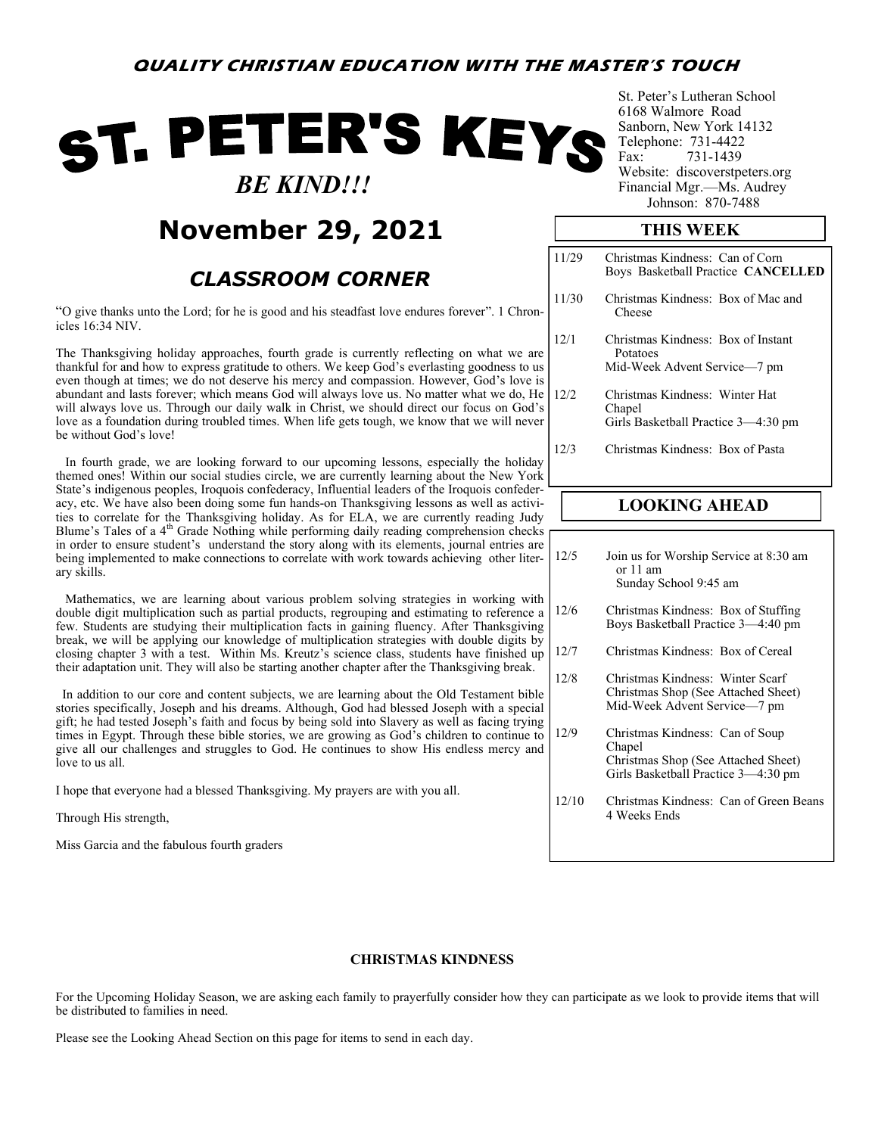# ST. PETER'S KEYS  *BE KIND!!!*

## **November 29, 2021**

### *CLASSROOM CORNER*

"O give thanks unto the Lord; for he is good and his steadfast love endures forever". 1 Chronicles 16:34 NIV.

The Thanksgiving holiday approaches, fourth grade is currently reflecting on what we are thankful for and how to express gratitude to others. We keep God's everlasting goodness to us even though at times; we do not deserve his mercy and compassion. However, God's love is abundant and lasts forever; which means God will always love us. No matter what we do, He will always love us. Through our daily walk in Christ, we should direct our focus on God's love as a foundation during troubled times. When life gets tough, we know that we will never be without God's love!

 In fourth grade, we are looking forward to our upcoming lessons, especially the holiday themed ones! Within our social studies circle, we are currently learning about the New York State's indigenous peoples, Iroquois confederacy, Influential leaders of the Iroquois confederacy, etc. We have also been doing some fun hands-on Thanksgiving lessons as well as activities to correlate for the Thanksgiving holiday. As for ELA, we are currently reading Judy Blume's Tales of a 4<sup>th</sup> Grade Nothing while performing daily reading comprehension checks in order to ensure student's understand the story along with its elements, journal entries are being implemented to make connections to correlate with work towards achieving other literary skills.

 Mathematics, we are learning about various problem solving strategies in working with double digit multiplication such as partial products, regrouping and estimating to reference a few. Students are studying their multiplication facts in gaining fluency. After Thanksgiving break, we will be applying our knowledge of multiplication strategies with double digits by closing chapter 3 with a test. Within Ms. Kreutz's science class, students have finished up their adaptation unit. They will also be starting another chapter after the Thanksgiving break.

 In addition to our core and content subjects, we are learning about the Old Testament bible stories specifically, Joseph and his dreams. Although, God had blessed Joseph with a special gift; he had tested Joseph's faith and focus by being sold into Slavery as well as facing trying times in Egypt. Through these bible stories, we are growing as God's children to continue to give all our challenges and struggles to God. He continues to show His endless mercy and love to us all.

I hope that everyone had a blessed Thanksgiving. My prayers are with you all.

Through His strength,

Miss Garcia and the fabulous fourth graders

St. Peter's Lutheran School 6168 Walmore Road Sanborn, New York 14132 Telephone: 731-4422<br>Fax: 731-1439 731-1439 Website: discoverstpeters.org Financial Mgr.—Ms. Audrey Johnson: 870-7488

#### **THIS WEEK**

| 11/29 | Christmas Kindness: Can of Corn<br>Boys Basketball Practice CANCELLED           |
|-------|---------------------------------------------------------------------------------|
| 11/30 | Christmas Kindness: Box of Mac and<br>Cheese                                    |
| 12/1  | Christmas Kindness: Box of Instant<br>Potatoes<br>Mid-Week Advent Service-7 pm  |
| 12/2  | Christmas Kindness: Winter Hat<br>Chapel<br>Girls Basketball Practice 3-4:30 pm |
| 12/3  | Christmas Kindness: Box of Pasta                                                |

#### **LOOKING AHEAD**

12/5 Join us for Worship Service at 8:30 am or 11 am Sunday School 9:45 am

- 12/6 Christmas Kindness: Box of Stuffing Boys Basketball Practice 3—4:40 pm
- 12/7 Christmas Kindness: Box of Cereal
- 12/8 Christmas Kindness: Winter Scarf Christmas Shop (See Attached Sheet) Mid-Week Advent Service—7 pm
- 12/9 Christmas Kindness: Can of Soup Chapel Christmas Shop (See Attached Sheet) Girls Basketball Practice 3—4:30 pm
- 12/10 Christmas Kindness: Can of Green Beans 4 Weeks Ends

#### **CHRISTMAS KINDNESS**

For the Upcoming Holiday Season, we are asking each family to prayerfully consider how they can participate as we look to provide items that will be distributed to families in need.

Please see the Looking Ahead Section on this page for items to send in each day.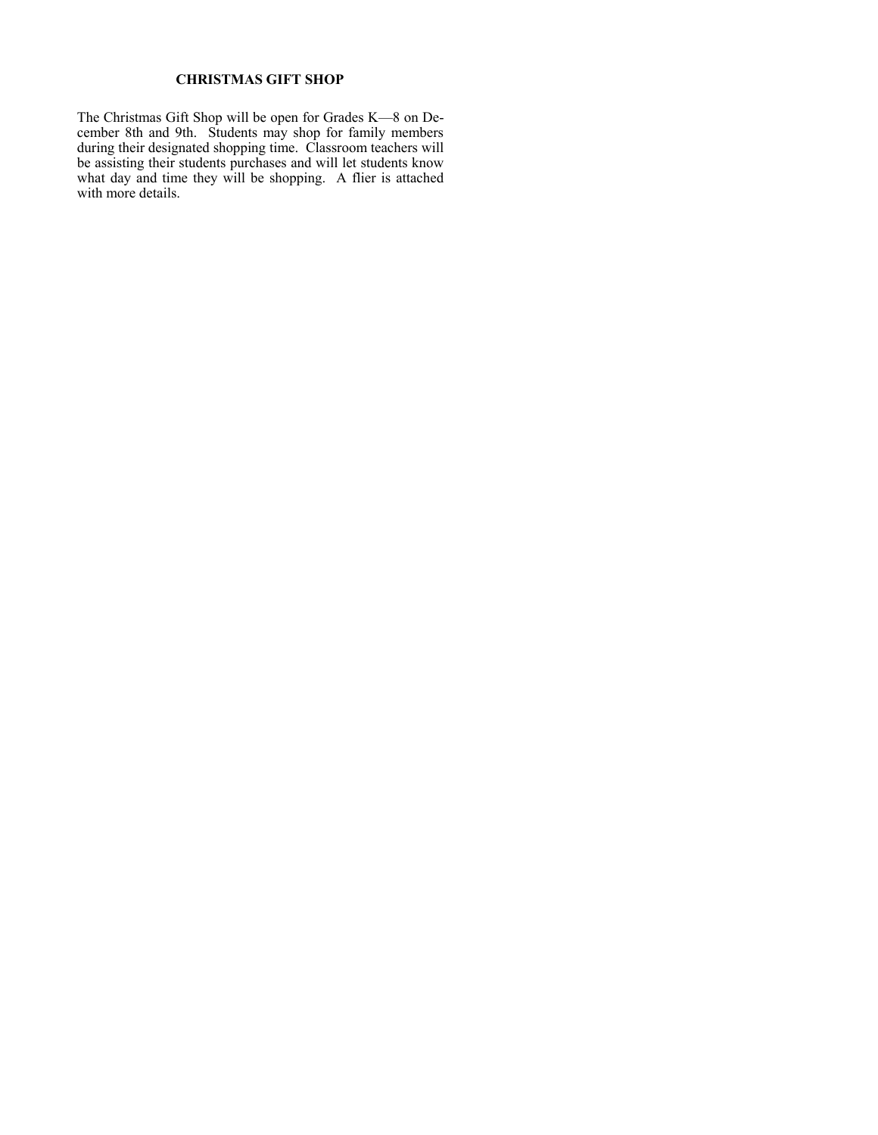#### **CHRISTMAS GIFT SHOP**

The Christmas Gift Shop will be open for Grades K—8 on December 8th and 9th. Students may shop for family members during their designated shopping time. Classroom teachers will be assisting their students purchases and will let students know what day and time they will be shopping. A flier is attached with more details.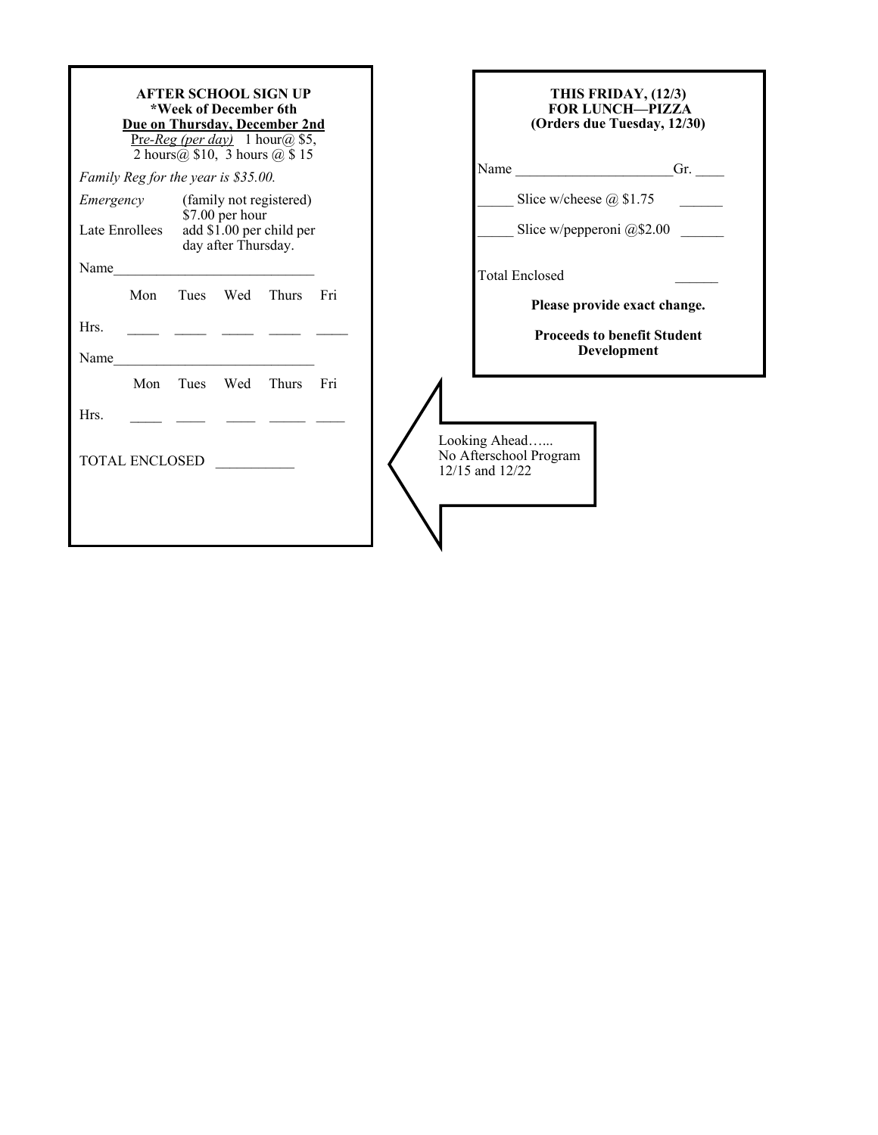| THIS FRIDAY, (12/3)<br><b>FOR LUNCH-PIZZA</b><br>(Orders due Tuesday, 12/30) |
|------------------------------------------------------------------------------|
| Name ______________________Gr.                                               |
| Slice w/cheese $@$ \$1.75                                                    |
| Slice w/pepperoni $@$2.00$                                                   |
| <b>Total Enclosed</b>                                                        |
| Please provide exact change.                                                 |
| <b>Proceeds to benefit Student</b><br>Development                            |
|                                                                              |
|                                                                              |
| Looking Ahead<br>No Afterschool Program<br>12/15 and 12/22                   |
|                                                                              |